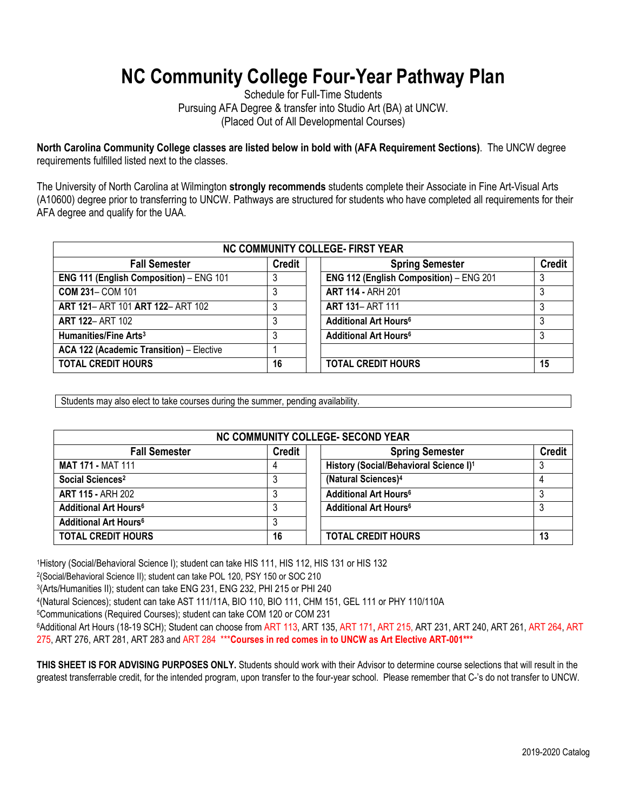## **NC Community College Four-Year Pathway Plan**

Schedule for Full-Time Students Pursuing AFA Degree & transfer into Studio Art (BA) at UNCW. (Placed Out of All Developmental Courses)

**North Carolina Community College classes are listed below in bold with (AFA Requirement Sections)**. The UNCW degree requirements fulfilled listed next to the classes.

The University of North Carolina at Wilmington **strongly recommends** students complete their Associate in Fine Art-Visual Arts (A10600) degree prior to transferring to UNCW. Pathways are structured for students who have completed all requirements for their AFA degree and qualify for the UAA.

| NC COMMUNITY COLLEGE- FIRST YEAR               |               |                                         |               |  |
|------------------------------------------------|---------------|-----------------------------------------|---------------|--|
| <b>Fall Semester</b>                           | <b>Credit</b> | <b>Spring Semester</b>                  | <b>Credit</b> |  |
| <b>ENG 111 (English Composition) - ENG 101</b> |               | ENG 112 (English Composition) - ENG 201 |               |  |
| <b>COM 231- COM 101</b>                        |               | <b>ART 114 - ARH 201</b>                |               |  |
| ART 121- ART 101 ART 122- ART 102              | 3             | <b>ART 131-ART 111</b>                  |               |  |
| <b>ART 122- ART 102</b>                        | 3             | <b>Additional Art Hours<sup>6</sup></b> |               |  |
| Humanities/Fine Arts <sup>3</sup>              | 3             | <b>Additional Art Hours<sup>6</sup></b> |               |  |
| ACA 122 (Academic Transition) - Elective       |               |                                         |               |  |
| <b>TOTAL CREDIT HOURS</b>                      | 16            | <b>TOTAL CREDIT HOURS</b>               | 15            |  |

Students may also elect to take courses during the summer, pending availability.

| NC COMMUNITY COLLEGE- SECOND YEAR       |               |                                                    |               |  |
|-----------------------------------------|---------------|----------------------------------------------------|---------------|--|
| <b>Fall Semester</b>                    | <b>Credit</b> | <b>Spring Semester</b>                             | <b>Credit</b> |  |
| <b>MAT 171 - MAT 111</b>                | 4             | History (Social/Behavioral Science I) <sup>1</sup> |               |  |
| Social Sciences <sup>2</sup>            |               | (Natural Sciences) <sup>4</sup>                    |               |  |
| <b>ART 115 - ARH 202</b>                |               | <b>Additional Art Hours<sup>6</sup></b>            |               |  |
| <b>Additional Art Hours<sup>6</sup></b> |               | <b>Additional Art Hours<sup>6</sup></b>            |               |  |
| <b>Additional Art Hours<sup>6</sup></b> |               |                                                    |               |  |
| <b>TOTAL CREDIT HOURS</b>               | 16            | <b>TOTAL CREDIT HOURS</b>                          | 13            |  |

1History (Social/Behavioral Science I); student can take HIS 111, HIS 112, HIS 131 or HIS 132

2(Social/Behavioral Science II); student can take POL 120, PSY 150 or SOC 210

3(Arts/Humanities II); student can take ENG 231, ENG 232, PHI 215 or PHI 240

4(Natural Sciences); student can take AST 111/11A, BIO 110, BIO 111, CHM 151, GEL 111 or PHY 110/110A

5Communications (Required Courses); student can take COM 120 or COM 231

6Additional Art Hours (18-19 SCH); Student can choose from ART 113, ART 135, ART 171, ART 215, ART 231, ART 240, ART 261, ART 264, ART 275, ART 276, ART 281, ART 283 and ART 284 \*\*\***Courses in red comes in to UNCW as Art Elective ART-001\*\*\***

**THIS SHEET IS FOR ADVISING PURPOSES ONLY.** Students should work with their Advisor to determine course selections that will result in the greatest transferrable credit, for the intended program, upon transfer to the four-year school. Please remember that C-'s do not transfer to UNCW.